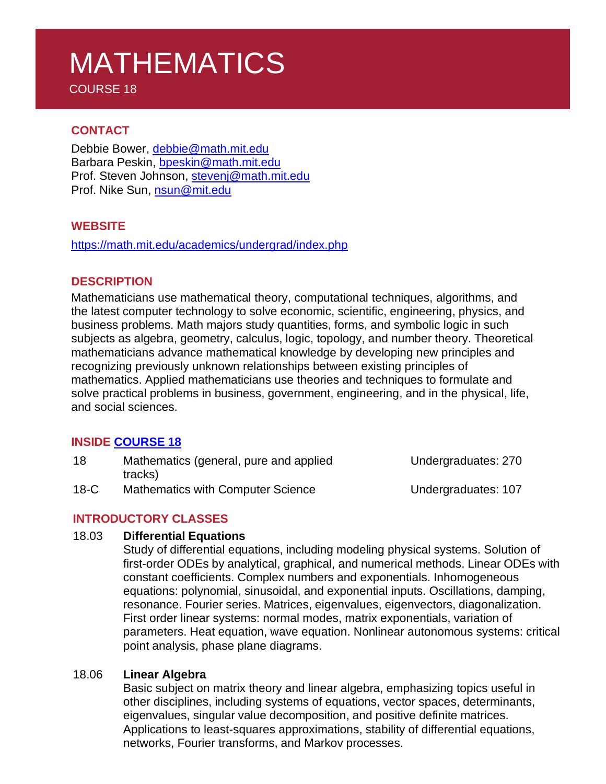# MATHEMATICS

COURSE 18

### **CONTACT**

Debbie Bower, [debbie@math.mit.edu](mailto:debbie@math.mit.edu) Barbara Peskin, [bpeskin@math.mit.edu](mailto:bpeskin@math.mit.edu) Prof. Steven Johnson, [stevenj@math.mit.edu](mailto:stevenj@math.mit.edu) Prof. Nike Sun, [nsun@mit.edu](mailto:nsun@mit.edu)

#### **WEBSITE**

<https://math.mit.edu/academics/undergrad/index.php>

#### **DESCRIPTION**

Mathematicians use mathematical theory, computational techniques, algorithms, and the latest computer technology to solve economic, scientific, engineering, physics, and business problems. Math majors study quantities, forms, and symbolic logic in such subjects as algebra, geometry, calculus, logic, topology, and number theory. Theoretical mathematicians advance mathematical knowledge by developing new principles and recognizing previously unknown relationships between existing principles of mathematics. Applied mathematicians use theories and techniques to formulate and solve practical problems in business, government, engineering, and in the physical, life, and social sciences.

#### **INSIDE [COURSE](https://math.mit.edu/academics/undergrad/major/index.php) 18**

| 18     | Mathematics (general, pure and applied   | Undergraduates: 270 |
|--------|------------------------------------------|---------------------|
|        | tracks)                                  |                     |
| $18-C$ | <b>Mathematics with Computer Science</b> | Undergraduates: 107 |

## **INTRODUCTORY CLASSES**

#### 18.03 **Differential Equations**

Study of differential equations, including modeling physical systems. Solution of first-order ODEs by analytical, graphical, and numerical methods. Linear ODEs with constant coefficients. Complex numbers and exponentials. Inhomogeneous equations: polynomial, sinusoidal, and exponential inputs. Oscillations, damping, resonance. Fourier series. Matrices, eigenvalues, eigenvectors, diagonalization. First order linear systems: normal modes, matrix exponentials, variation of parameters. Heat equation, wave equation. Nonlinear autonomous systems: critical point analysis, phase plane diagrams.

#### 18.06 **Linear Algebra**

Basic subject on matrix theory and linear algebra, emphasizing topics useful in other disciplines, including systems of equations, vector spaces, determinants, eigenvalues, singular value decomposition, and positive definite matrices. Applications to least-squares approximations, stability of differential equations, networks, Fourier transforms, and Markov processes.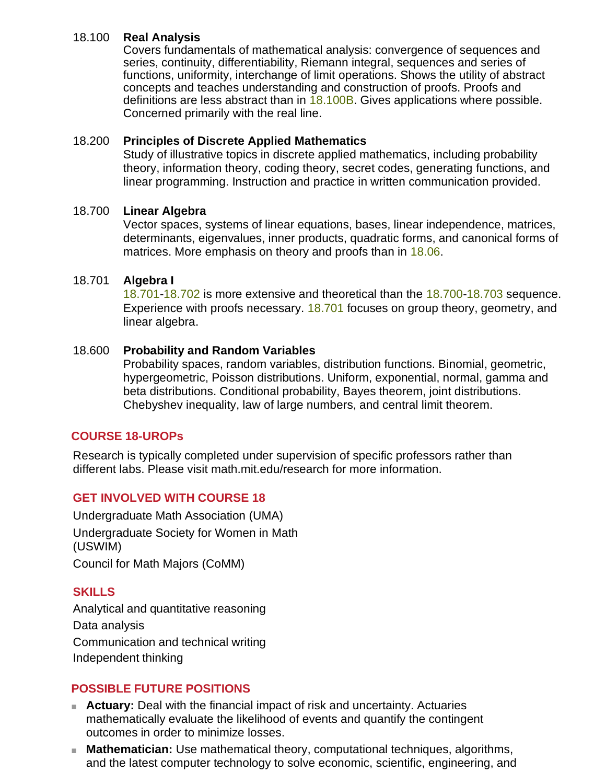#### 18.100 **Real Analysis**

Covers fundamentals of mathematical analysis: convergence of sequences and series, continuity, differentiability, Riemann integral, sequences and series of functions, uniformity, interchange of limit operations. Shows the utility of abstract concepts and teaches understanding and construction of proofs. Proofs and definitions are less abstract than in  $18.100B$ . Gives applications where possible. Concerned primarily with the real line.

#### 18.200 **Principles of Discrete Applied Mathematics**

Study of illustrative topics in discrete applied mathematics, including probability theory, information theory, coding theory, secret codes, generating functions, and linear programming. Instruction and practice in written communication provided.

### 18.700 **Linear Algebra**

Vector spaces, systems of linear equations, bases, linear independence, matrices, determinants, eigenvalues, inner products, quadratic forms, and canonical forms of matrices. More emphasis on theory and proofs than in [18.06.](http://catalog.mit.edu/search/?P=18.06)

#### 18.701 **Algebra I**

18.701-18.702 is more extensive and theoretical than the 18.700-18.703 sequence. Experience with proofs necessary. 18.701 focuses on group theory, geometry, and linear algebra.

### 18.600 **Probability and Random Variables**

Probability spaces, random variables, distribution functions. Binomial, geometric, hypergeometric, Poisson distributions. Uniform, exponential, normal, gamma and beta distributions. Conditional probability, Bayes theorem, joint distributions. Chebyshev inequality, law of large numbers, and central limit theorem.

## **COURSE 18-UROPs**

Research is typically completed under supervision of specific professors rather than different labs. Please visit math.mit.edu/research for more information.

## **GET INVOLVED WITH COURSE 18**

Undergraduate Math Association (UMA) Undergraduate Society for Women in Math (USWIM) Council for Math Majors (CoMM)

## **SKILLS**

Analytical and quantitative reasoning Data analysis Communication and technical writing Independent thinking

## **POSSIBLE FUTURE POSITIONS**

- **Actuary:** Deal with the financial impact of risk and uncertainty. Actuaries mathematically evaluate the likelihood of events and quantify the contingent outcomes in order to minimize losses.
- **Mathematician:** Use mathematical theory, computational techniques, algorithms, and the latest computer technology to solve economic, scientific, engineering, and